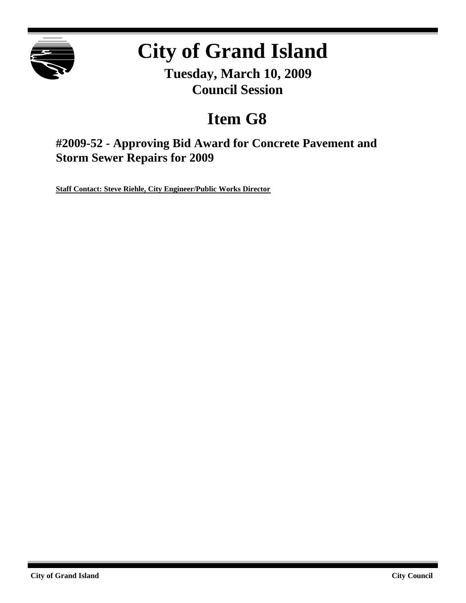

# **City of Grand Island**

**Tuesday, March 10, 2009 Council Session**

## **Item G8**

**#2009-52 - Approving Bid Award for Concrete Pavement and Storm Sewer Repairs for 2009**

**Staff Contact: Steve Riehle, City Engineer/Public Works Director**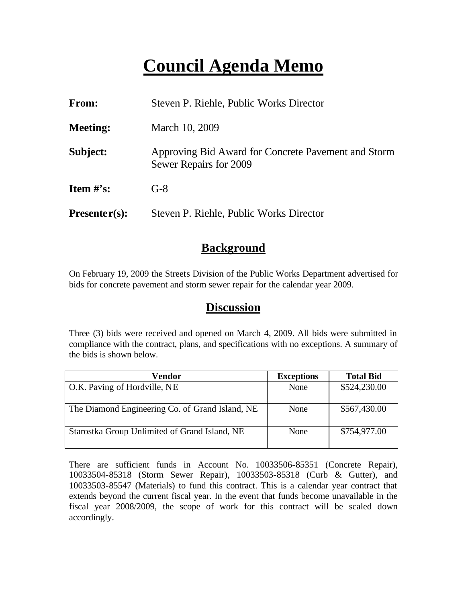## **Council Agenda Memo**

| From:                          | Steven P. Riehle, Public Works Director                                       |  |
|--------------------------------|-------------------------------------------------------------------------------|--|
| <b>Meeting:</b>                | March 10, 2009                                                                |  |
| Subject:                       | Approving Bid Award for Concrete Pavement and Storm<br>Sewer Repairs for 2009 |  |
| <b>Item <math>\#</math>'s:</b> | $G-8$                                                                         |  |
| $Presenter(s):$                | Steven P. Riehle, Public Works Director                                       |  |

### **Background**

On February 19, 2009 the Streets Division of the Public Works Department advertised for bids for concrete pavement and storm sewer repair for the calendar year 2009.

#### **Discussion**

Three (3) bids were received and opened on March 4, 2009. All bids were submitted in compliance with the contract, plans, and specifications with no exceptions. A summary of the bids is shown below.

| <b>Vendor</b>                                   | <b>Exceptions</b> | <b>Total Bid</b> |
|-------------------------------------------------|-------------------|------------------|
| O.K. Paving of Hordville, NE                    | None              | \$524,230.00     |
|                                                 |                   |                  |
| The Diamond Engineering Co. of Grand Island, NE | None              | \$567,430.00     |
| Starostka Group Unlimited of Grand Island, NE   | None              | \$754,977.00     |

There are sufficient funds in Account No. 10033506-85351 (Concrete Repair), 10033504-85318 (Storm Sewer Repair), 10033503-85318 (Curb & Gutter), and 10033503-85547 (Materials) to fund this contract. This is a calendar year contract that extends beyond the current fiscal year. In the event that funds become unavailable in the fiscal year 2008/2009, the scope of work for this contract will be scaled down accordingly.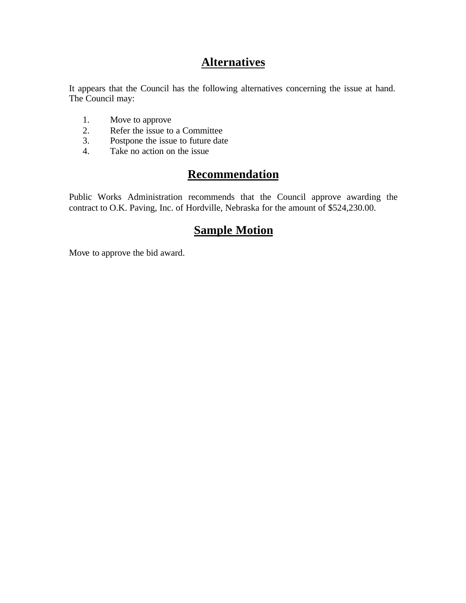## **Alternatives**

It appears that the Council has the following alternatives concerning the issue at hand. The Council may:

- 1. Move to approve
- 2. Refer the issue to a Committee<br>3. Postpone the issue to future date
- Postpone the issue to future date
- 4. Take no action on the issue

## **Recommendation**

Public Works Administration recommends that the Council approve awarding the contract to O.K. Paving, Inc. of Hordville, Nebraska for the amount of \$524,230.00.

### **Sample Motion**

Move to approve the bid award.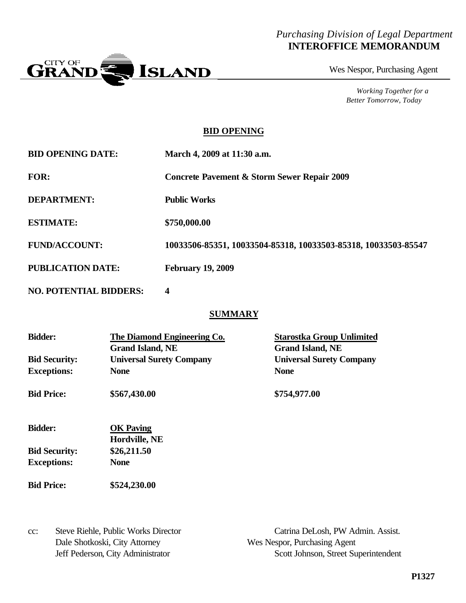#### *Purchasing Division of Legal Department* **INTEROFFICE MEMORANDUM**



Wes Nespor, Purchasing Agent

*Working Together for a Better Tomorrow, Today*

#### **BID OPENING**

| <b>BID OPENING DATE:</b> | March 4, 2009 at 11:30 a.m.                                    |
|--------------------------|----------------------------------------------------------------|
| FOR:                     | <b>Concrete Pavement &amp; Storm Sewer Repair 2009</b>         |
| <b>DEPARTMENT:</b>       | <b>Public Works</b>                                            |
| <b>ESTIMATE:</b>         | \$750,000.00                                                   |
| <b>FUND/ACCOUNT:</b>     | 10033506-85351, 10033504-85318, 10033503-85318, 10033503-85547 |
| <b>PUBLICATION DATE:</b> | <b>February 19, 2009</b>                                       |

**NO. POTENTIAL BIDDERS: 4**

#### **SUMMARY**

| <b>Bidder:</b>       | The Diamond Engineering Co.<br><b>Grand Island, NE</b> | <b>Starostka Group Unlimited</b><br><b>Grand Island, NE</b> |
|----------------------|--------------------------------------------------------|-------------------------------------------------------------|
| <b>Bid Security:</b> | <b>Universal Surety Company</b>                        | <b>Universal Surety Company</b>                             |
| <b>Exceptions:</b>   | <b>None</b>                                            | <b>None</b>                                                 |
| <b>Bid Price:</b>    | \$567,430.00                                           | \$754,977.00                                                |
| <b>Bidder:</b>       | <b>OK</b> Paving<br>Hordville, NE                      |                                                             |
| <b>Bid Security:</b> | \$26,211.50                                            |                                                             |
| <b>Exceptions:</b>   | <b>None</b>                                            |                                                             |
| <b>Bid Price:</b>    | \$524,230.00                                           |                                                             |
|                      |                                                        |                                                             |

Dale Shotkoski, City Attorney Wes Nespor, Purchasing Agent

cc: Steve Riehle, Public Works Director Catrina DeLosh, PW Admin. Assist. Jeff Pederson, City Administrator Scott Johnson, Street Superintendent